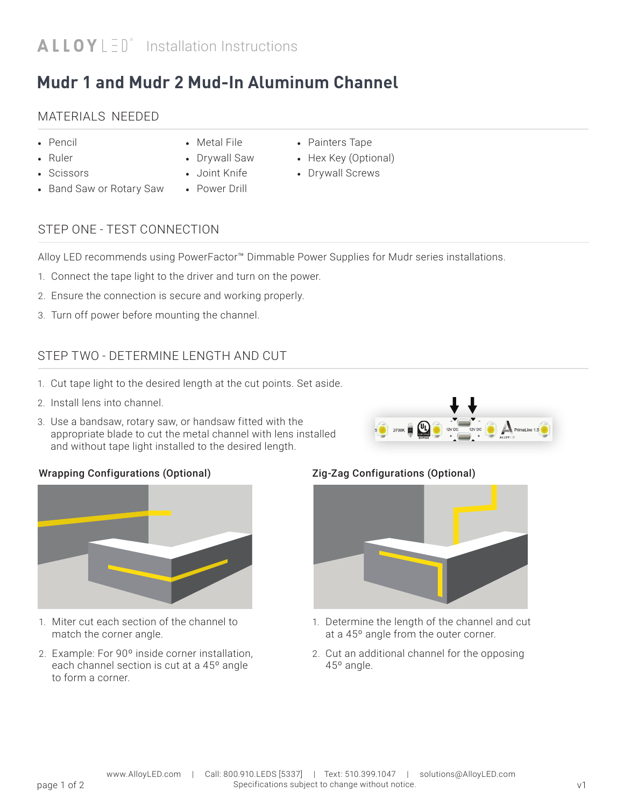## **Mudr 1 and Mudr 2 Mud-In Aluminum Channel**

## MATERIALS NEEDED

- Pencil
- Ruler
- Scissors
- Band Saw or Rotary Saw
- Drywall Saw

• Metal File

- Joint Knife
- Power Drill
- Painters Tape
- Hex Key (Optional)
- Drywall Screws

## STEP ONE - TEST CONNECTION

Alloy LED recommends using PowerFactor™ Dimmable Power Supplies for Mudr series installations.

- 1. Connect the tape light to the driver and turn on the power.
- 2. Ensure the connection is secure and working properly.
- 3. Turn off power before mounting the channel.

## STEP TWO - DETERMINE LENGTH AND CUT

- 1. Cut tape light to the desired length at the cut points. Set aside.
- 2. Install lens into channel.
- 3. Use a bandsaw, rotary saw, or handsaw fitted with the appropriate blade to cut the metal channel with lens installed and without tape light installed to the desired length.



#### Wrapping Configurations (Optional)



- 1. Miter cut each section of the channel to match the corner angle.
- 2. Example: For 90º inside corner installation, each channel section is cut at a 45º angle to form a corner.

#### Zig-Zag Configurations (Optional)



- 1. Determine the length of the channel and cut at a 45º angle from the outer corner.
- 2. Cut an additional channel for the opposing 45º angle.